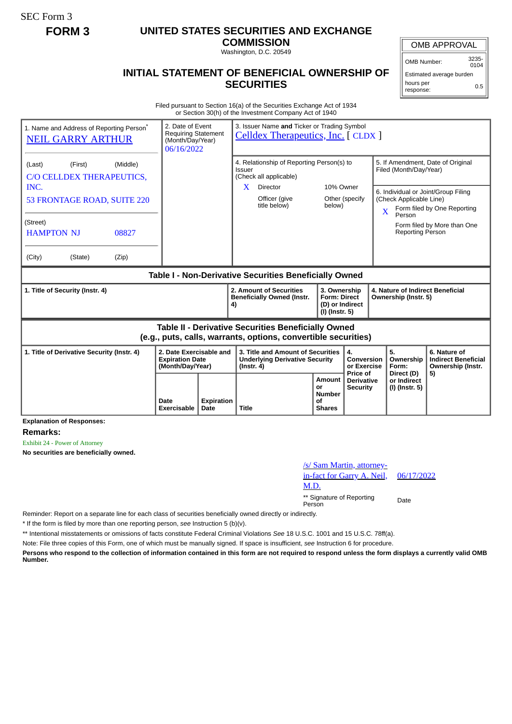SEC Form 3

## **FORM 3 UNITED STATES SECURITIES AND EXCHANGE**

**COMMISSION**

Washington, D.C. 20549

## **INITIAL STATEMENT OF BENEFICIAL OWNERSHIP OF SECURITIES**

OMB APPROVAL

OMB Number: 3235-  $0104$ 

Estimated average burden hours per response: 0.5

Filed pursuant to Section 16(a) of the Securities Exchange Act of 1934 or Section 30(h) of the Investment Company Act of 1940

| 1. Name and Address of Reporting Person <sup>®</sup><br><b>NEIL GARRY ARTHUR</b>                                             | 2. Date of Event<br><b>Requiring Statement</b><br>(Month/Day/Year)<br>06/16/2022 |                           | 3. Issuer Name and Ticker or Trading Symbol<br>Celldex Therapeutics, Inc. [CLDX]               |                                                                          |                                             |                                                             |                                        |                                                                    |  |
|------------------------------------------------------------------------------------------------------------------------------|----------------------------------------------------------------------------------|---------------------------|------------------------------------------------------------------------------------------------|--------------------------------------------------------------------------|---------------------------------------------|-------------------------------------------------------------|----------------------------------------|--------------------------------------------------------------------|--|
| (Middle)<br>(Last)<br>(First)<br>C/O CELLDEX THERAPEUTICS,                                                                   |                                                                                  |                           | 4. Relationship of Reporting Person(s) to<br>Issuer<br>(Check all applicable)<br>10% Owner     |                                                                          |                                             | 5. If Amendment, Date of Original<br>Filed (Month/Day/Year) |                                        |                                                                    |  |
| INC.<br>53 FRONTAGE ROAD, SUITE 220                                                                                          |                                                                                  |                           | Director<br>X<br>Officer (give<br>title below)                                                 | below)                                                                   | Other (specify                              | $\overline{\mathbf{X}}$                                     | (Check Applicable Line)<br>Person      | 6. Individual or Joint/Group Filing<br>Form filed by One Reporting |  |
| (Street)<br><b>HAMPTON NJ</b><br>08827                                                                                       |                                                                                  |                           |                                                                                                |                                                                          |                                             |                                                             | <b>Reporting Person</b>                | Form filed by More than One                                        |  |
| (City)<br>(State)<br>(Zip)                                                                                                   |                                                                                  |                           |                                                                                                |                                                                          |                                             |                                                             |                                        |                                                                    |  |
| Table I - Non-Derivative Securities Beneficially Owned                                                                       |                                                                                  |                           |                                                                                                |                                                                          |                                             |                                                             |                                        |                                                                    |  |
| 1. Title of Security (Instr. 4)                                                                                              |                                                                                  |                           | 2. Amount of Securities<br><b>Beneficially Owned (Instr.</b><br>4)                             | 3. Ownership<br><b>Form: Direct</b><br>(D) or Indirect<br>(I) (Instr. 5) |                                             | 4. Nature of Indirect Beneficial<br>Ownership (Instr. 5)    |                                        |                                                                    |  |
| <b>Table II - Derivative Securities Beneficially Owned</b><br>(e.g., puts, calls, warrants, options, convertible securities) |                                                                                  |                           |                                                                                                |                                                                          |                                             |                                                             |                                        |                                                                    |  |
| 1. Title of Derivative Security (Instr. 4)<br>2. Date Exercisable and<br><b>Expiration Date</b><br>(Month/Day/Year)          |                                                                                  |                           | 3. Title and Amount of Securities<br><b>Underlying Derivative Security</b><br>$($ lnstr. 4 $)$ |                                                                          | 4.<br>Conversion<br>or Exercise<br>Price of |                                                             | 5.<br>Ownership<br>Form:<br>Direct (D) | 6. Nature of<br><b>Indirect Beneficial</b><br>Ownership (Instr.    |  |
|                                                                                                                              | Date<br>Exercisable                                                              | <b>Expiration</b><br>Date | <b>Title</b>                                                                                   | Amount<br>or<br><b>Number</b><br>Ωf<br><b>Shares</b>                     | <b>Derivative</b><br><b>Security</b>        |                                                             | or Indirect<br>(I) (Instr. 5)          | 5)                                                                 |  |

**Explanation of Responses:**

**Remarks:**

Exhibit 24 - Power of Attorney

**No securities are beneficially owned.**

| /s/ Sam Martin, attorney-                  |            |
|--------------------------------------------|------------|
| <u>in-fact for Garry A. Neil,</u>          | 06/17/2022 |
| M.D.                                       |            |
| ** Signature of Reporting<br><b>Dovoon</b> | Date       |

Person

Reminder: Report on a separate line for each class of securities beneficially owned directly or indirectly.

\* If the form is filed by more than one reporting person, *see* Instruction 5 (b)(v).

\*\* Intentional misstatements or omissions of facts constitute Federal Criminal Violations *See* 18 U.S.C. 1001 and 15 U.S.C. 78ff(a).

Note: File three copies of this Form, one of which must be manually signed. If space is insufficient, *see* Instruction 6 for procedure.

**Persons who respond to the collection of information contained in this form are not required to respond unless the form displays a currently valid OMB Number.**